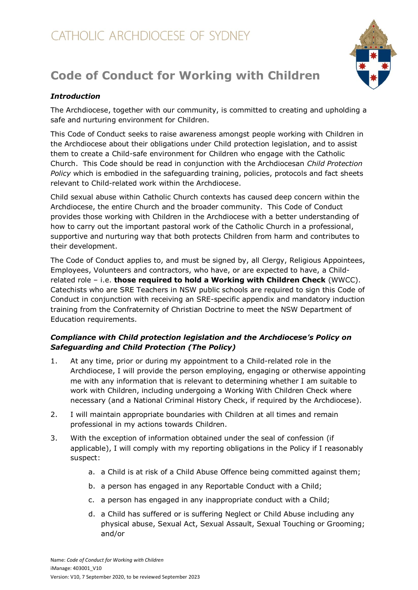# **Code of Conduct for Working with Children**



The Archdiocese, together with our community, is committed to creating and upholding a safe and nurturing environment for Children.

This Code of Conduct seeks to raise awareness amongst people working with Children in the Archdiocese about their obligations under Child protection legislation, and to assist them to create a Child-safe environment for Children who engage with the Catholic Church. This Code should be read in conjunction with the Archdiocesan *Child Protection Policy* which is embodied in the safeguarding training, policies, protocols and fact sheets relevant to Child-related work within the Archdiocese.

Child sexual abuse within Catholic Church contexts has caused deep concern within the Archdiocese, the entire Church and the broader community. This Code of Conduct provides those working with Children in the Archdiocese with a better understanding of how to carry out the important pastoral work of the Catholic Church in a professional, supportive and nurturing way that both protects Children from harm and contributes to their development.

The Code of Conduct applies to, and must be signed by, all Clergy, Religious Appointees, Employees, Volunteers and contractors, who have, or are expected to have, a Childrelated role – i.e. **those required to hold a Working with Children Check** (WWCC). Catechists who are SRE Teachers in NSW public schools are required to sign this Code of Conduct in conjunction with receiving an SRE-specific appendix and mandatory induction training from the Confraternity of Christian Doctrine to meet the NSW Department of Education requirements.

# *Compliance with Child protection legislation and the Archdiocese's Policy on Safeguarding and Child Protection (The Policy)*

- 1. At any time, prior or during my appointment to a Child-related role in the Archdiocese, I will provide the person employing, engaging or otherwise appointing me with any information that is relevant to determining whether I am suitable to work with Children, including undergoing a Working With Children Check where necessary (and a National Criminal History Check, if required by the Archdiocese).
- 2. I will maintain appropriate boundaries with Children at all times and remain professional in my actions towards Children.
- 3. With the exception of information obtained under the seal of confession (if applicable), I will comply with my reporting obligations in the Policy if I reasonably suspect:
	- a. a Child is at risk of a Child Abuse Offence being committed against them;
	- b. a person has engaged in any Reportable Conduct with a Child;
	- c. a person has engaged in any inappropriate conduct with a Child;
	- d. a Child has suffered or is suffering Neglect or Child Abuse including any physical abuse, Sexual Act, Sexual Assault, Sexual Touching or Grooming; and/or

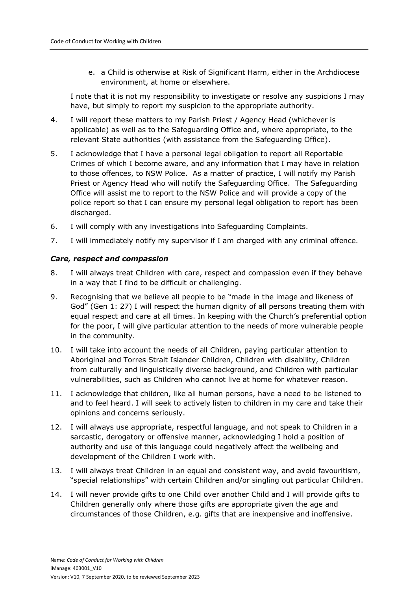e. a Child is otherwise at Risk of Significant Harm, either in the Archdiocese environment, at home or elsewhere.

I note that it is not my responsibility to investigate or resolve any suspicions I may have, but simply to report my suspicion to the appropriate authority.

- 4. I will report these matters to my Parish Priest / Agency Head (whichever is applicable) as well as to the Safeguarding Office and, where appropriate, to the relevant State authorities (with assistance from the Safeguarding Office).
- 5. I acknowledge that I have a personal legal obligation to report all Reportable Crimes of which I become aware, and any information that I may have in relation to those offences, to NSW Police. As a matter of practice, I will notify my Parish Priest or Agency Head who will notify the Safeguarding Office. The Safeguarding Office will assist me to report to the NSW Police and will provide a copy of the police report so that I can ensure my personal legal obligation to report has been discharged.
- 6. I will comply with any investigations into Safeguarding Complaints.
- 7. I will immediately notify my supervisor if I am charged with any criminal offence.

#### *Care, respect and compassion*

- 8. I will always treat Children with care, respect and compassion even if they behave in a way that I find to be difficult or challenging.
- 9. Recognising that we believe all people to be "made in the image and likeness of God" (Gen 1: 27) I will respect the human dignity of all persons treating them with equal respect and care at all times. In keeping with the Church's preferential option for the poor, I will give particular attention to the needs of more vulnerable people in the community.
- 10. I will take into account the needs of all Children, paying particular attention to Aboriginal and Torres Strait Islander Children, Children with disability, Children from culturally and linguistically diverse background, and Children with particular vulnerabilities, such as Children who cannot live at home for whatever reason.
- 11. I acknowledge that children, like all human persons, have a need to be listened to and to feel heard. I will seek to actively listen to children in my care and take their opinions and concerns seriously.
- 12. I will always use appropriate, respectful language, and not speak to Children in a sarcastic, derogatory or offensive manner, acknowledging I hold a position of authority and use of this language could negatively affect the wellbeing and development of the Children I work with.
- 13. I will always treat Children in an equal and consistent way, and avoid favouritism, "special relationships" with certain Children and/or singling out particular Children.
- 14. I will never provide gifts to one Child over another Child and I will provide gifts to Children generally only where those gifts are appropriate given the age and circumstances of those Children, e.g. gifts that are inexpensive and inoffensive.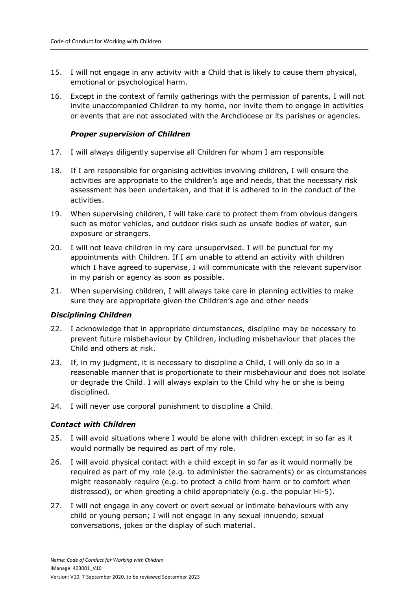- 15. I will not engage in any activity with a Child that is likely to cause them physical, emotional or psychological harm.
- 16. Except in the context of family gatherings with the permission of parents, I will not invite unaccompanied Children to my home, nor invite them to engage in activities or events that are not associated with the Archdiocese or its parishes or agencies.

# *Proper supervision of Children*

- 17. I will always diligently supervise all Children for whom I am responsible
- 18. If I am responsible for organising activities involving children, I will ensure the activities are appropriate to the children's age and needs, that the necessary risk assessment has been undertaken, and that it is adhered to in the conduct of the activities.
- 19. When supervising children, I will take care to protect them from obvious dangers such as motor vehicles, and outdoor risks such as unsafe bodies of water, sun exposure or strangers.
- 20. I will not leave children in my care unsupervised. I will be punctual for my appointments with Children. If I am unable to attend an activity with children which I have agreed to supervise, I will communicate with the relevant supervisor in my parish or agency as soon as possible.
- 21. When supervising children, I will always take care in planning activities to make sure they are appropriate given the Children's age and other needs

# *Disciplining Children*

- 22. I acknowledge that in appropriate circumstances, discipline may be necessary to prevent future misbehaviour by Children, including misbehaviour that places the Child and others at risk.
- 23. If, in my judgment, it is necessary to discipline a Child, I will only do so in a reasonable manner that is proportionate to their misbehaviour and does not isolate or degrade the Child. I will always explain to the Child why he or she is being disciplined.
- 24. I will never use corporal punishment to discipline a Child.

# *Contact with Children*

- 25. I will avoid situations where I would be alone with children except in so far as it would normally be required as part of my role.
- 26. I will avoid physical contact with a child except in so far as it would normally be required as part of my role (e.g. to administer the sacraments) or as circumstances might reasonably require (e.g. to protect a child from harm or to comfort when distressed), or when greeting a child appropriately (e.g. the popular Hi-5).
- 27. I will not engage in any covert or overt sexual or intimate behaviours with any child or young person; I will not engage in any sexual innuendo, sexual conversations, jokes or the display of such material.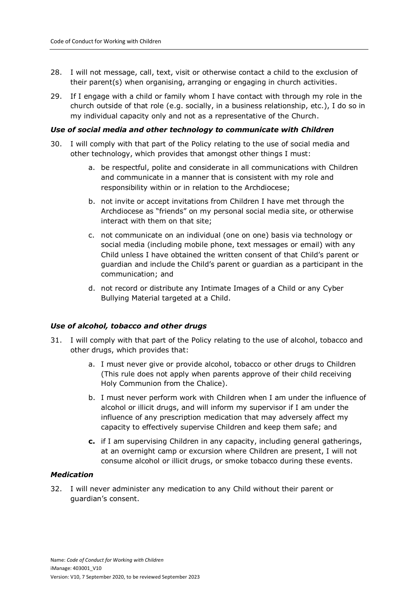- 28. I will not message, call, text, visit or otherwise contact a child to the exclusion of their parent(s) when organising, arranging or engaging in church activities.
- 29. If I engage with a child or family whom I have contact with through my role in the church outside of that role (e.g. socially, in a business relationship, etc.), I do so in my individual capacity only and not as a representative of the Church.

#### *Use of social media and other technology to communicate with Children*

- 30. I will comply with that part of the Policy relating to the use of social media and other technology, which provides that amongst other things I must:
	- a. be respectful, polite and considerate in all communications with Children and communicate in a manner that is consistent with my role and responsibility within or in relation to the Archdiocese;
	- b. not invite or accept invitations from Children I have met through the Archdiocese as "friends" on my personal social media site, or otherwise interact with them on that site;
	- c. not communicate on an individual (one on one) basis via technology or social media (including mobile phone, text messages or email) with any Child unless I have obtained the written consent of that Child's parent or guardian and include the Child's parent or guardian as a participant in the communication; and
	- d. not record or distribute any Intimate Images of a Child or any Cyber Bullying Material targeted at a Child.

#### *Use of alcohol, tobacco and other drugs*

- 31. I will comply with that part of the Policy relating to the use of alcohol, tobacco and other drugs, which provides that:
	- a. I must never give or provide alcohol, tobacco or other drugs to Children (This rule does not apply when parents approve of their child receiving Holy Communion from the Chalice).
	- b. I must never perform work with Children when I am under the influence of alcohol or illicit drugs, and will inform my supervisor if I am under the influence of any prescription medication that may adversely affect my capacity to effectively supervise Children and keep them safe; and
	- **c.** if I am supervising Children in any capacity, including general gatherings, at an overnight camp or excursion where Children are present, I will not consume alcohol or illicit drugs, or smoke tobacco during these events.

# *Medication*

32. I will never administer any medication to any Child without their parent or guardian's consent.